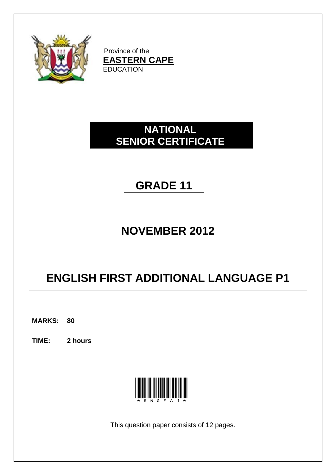

Province of the **EASTERN CAPE EDUCATION** 

# **NATIONAL SENIOR CERTIFICATE**

# **GRADE 11**

# **NOVEMBER 2012**

# **ENGLISH FIRST ADDITIONAL LANGUAGE P1**

**MARKS: 80**

**TIME: 2 hours**



This question paper consists of 12 pages.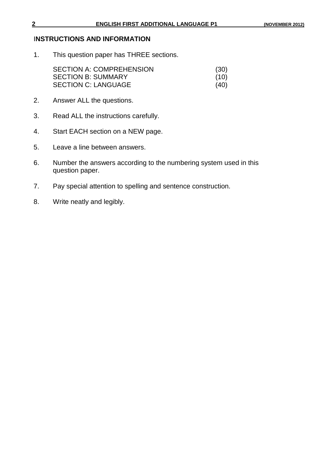## I**NSTRUCTIONS AND INFORMATION**

1. This question paper has THREE sections.

| <b>SECTION A: COMPREHENSION</b> | (30) |
|---------------------------------|------|
| <b>SECTION B: SUMMARY</b>       | (10) |
| <b>SECTION C: LANGUAGE</b>      | (40) |

- 2. Answer ALL the questions.
- 3. Read ALL the instructions carefully.
- 4. Start EACH section on a NEW page.
- 5. Leave a line between answers.
- 6. Number the answers according to the numbering system used in this question paper.
- 7. Pay special attention to spelling and sentence construction.
- 8. Write neatly and legibly.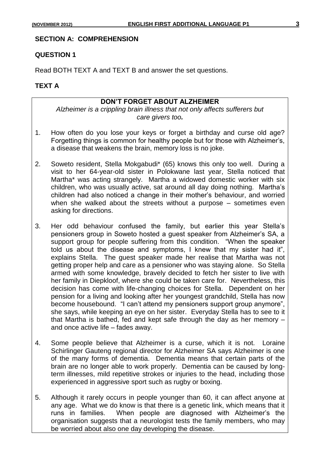#### **SECTION A: COMPREHENSION**

#### **QUESTION 1**

Read BOTH TEXT A and TEXT B and answer the set questions.

# **TEXT A**

#### **DON'T FORGET ABOUT ALZHEIMER**

*Alzheimer is a crippling brain illness that not only affects sufferers but care givers too.*

- 1. How often do you lose your keys or forget a birthday and curse old age? Forgetting things is common for healthy people but for those with Alzheimer"s, a disease that weakens the brain, memory loss is no joke.
- 2. Soweto resident, Stella Mokgabudi\* (65) knows this only too well. During a visit to her 64-year-old sister in Polokwane last year, Stella noticed that Martha\* was acting strangely. Martha a widowed domestic worker with six children, who was usually active, sat around all day doing nothing. Martha"s children had also noticed a change in their mother"s behaviour, and worried when she walked about the streets without a purpose – sometimes even asking for directions.
- 3. Her odd behaviour confused the family, but earlier this year Stella"s pensioners group in Soweto hosted a guest speaker from Alzheimer"s SA, a support group for people suffering from this condition. "When the speaker told us about the disease and symptoms, I knew that my sister had it", explains Stella. The guest speaker made her realise that Martha was not getting proper help and care as a pensioner who was staying alone. So Stella armed with some knowledge, bravely decided to fetch her sister to live with her family in Diepkloof, where she could be taken care for. Nevertheless, this decision has come with life-changing choices for Stella. Dependent on her pension for a living and looking after her youngest grandchild, Stella has now become housebound. "I can"t attend my pensioners support group anymore", she says, while keeping an eye on her sister. Everyday Stella has to see to it that Martha is bathed, fed and kept safe through the day as her memory – and once active life – fades away.
- 4. Some people believe that Alzheimer is a curse, which it is not. Loraine Schirlinger Gauteng regional director for Alzheimer SA says Alzheimer is one of the many forms of dementia. Dementia means that certain parts of the brain are no longer able to work properly. Dementia can be caused by longterm illnesses, mild repetitive strokes or injuries to the head, including those experienced in aggressive sport such as rugby or boxing.
- 5. Although it rarely occurs in people younger than 60, it can affect anyone at any age. What we do know is that there is a genetic link, which means that it runs in families. When people are diagnosed with Alzheimer"s the organisation suggests that a neurologist tests the family members, who may be worried about also one day developing the disease.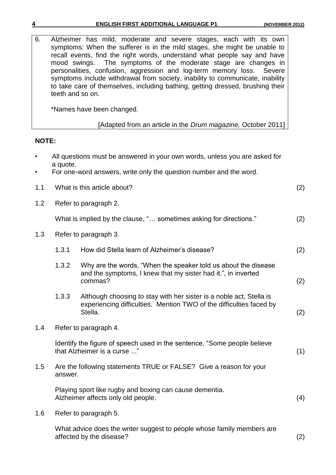|  | 4 | <b>ENGLISH FIRST ADDITIONAL LANGUAGE P1</b> | (NOVEMBER 2012) |
|--|---|---------------------------------------------|-----------------|
|--|---|---------------------------------------------|-----------------|

| 6.           | mood swings. | Alzheimer has mild, moderate and severe stages, each with its own<br>symptoms: When the sufferer is in the mild stages, she might be unable to<br>recall events, find the right words, understand what people say and have<br>The symptoms of the moderate stage are changes in<br>personalities, confusion, aggression and log-term memory loss.<br>Severe<br>symptoms include withdrawal from society, inability to communicate, inability<br>to take care of themselves, including bathing, getting dressed, brushing their<br>teeth and so on. |     |
|--------------|--------------|----------------------------------------------------------------------------------------------------------------------------------------------------------------------------------------------------------------------------------------------------------------------------------------------------------------------------------------------------------------------------------------------------------------------------------------------------------------------------------------------------------------------------------------------------|-----|
|              |              | *Names have been changed.                                                                                                                                                                                                                                                                                                                                                                                                                                                                                                                          |     |
|              |              | [Adapted from an article in the Drum magazine, October 2011]                                                                                                                                                                                                                                                                                                                                                                                                                                                                                       |     |
| <b>NOTE:</b> |              |                                                                                                                                                                                                                                                                                                                                                                                                                                                                                                                                                    |     |
|              | a quote.     | All questions must be answered in your own words, unless you are asked for                                                                                                                                                                                                                                                                                                                                                                                                                                                                         |     |
|              |              | For one-word answers, write only the question number and the word.                                                                                                                                                                                                                                                                                                                                                                                                                                                                                 |     |
| 1.1          |              | What is this article about?                                                                                                                                                                                                                                                                                                                                                                                                                                                                                                                        | (2) |
| 1.2          |              | Refer to paragraph 2.                                                                                                                                                                                                                                                                                                                                                                                                                                                                                                                              |     |
|              |              | What is implied by the clause, " sometimes asking for directions."                                                                                                                                                                                                                                                                                                                                                                                                                                                                                 | (2) |
| 1.3          |              | Refer to paragraph 3.                                                                                                                                                                                                                                                                                                                                                                                                                                                                                                                              |     |
|              | 1.3.1        | How did Stella learn of Alzheimer's disease?                                                                                                                                                                                                                                                                                                                                                                                                                                                                                                       | (2) |
|              | 1.3.2        | Why are the words, "When the speaker told us about the disease"<br>and the symptoms, I knew that my sister had it.", in inverted<br>commas?                                                                                                                                                                                                                                                                                                                                                                                                        | (2) |
|              | 1.3.3        | Although choosing to stay with her sister is a noble act, Stella is<br>experiencing difficulties. Mention TWO of the difficulties faced by<br>Stella.                                                                                                                                                                                                                                                                                                                                                                                              | (2) |
| 1.4          |              | Refer to paragraph 4.                                                                                                                                                                                                                                                                                                                                                                                                                                                                                                                              |     |
|              |              | Identify the figure of speech used in the sentence, "Some people believe<br>that Alzheimer is a curse "                                                                                                                                                                                                                                                                                                                                                                                                                                            | (1) |
| 1.5          | answer.      | Are the following statements TRUE or FALSE? Give a reason for your                                                                                                                                                                                                                                                                                                                                                                                                                                                                                 |     |
|              |              | Playing sport like rugby and boxing can cause dementia.<br>Alzheimer affects only old people.                                                                                                                                                                                                                                                                                                                                                                                                                                                      | (4) |
| 1.6          |              | Refer to paragraph 5.                                                                                                                                                                                                                                                                                                                                                                                                                                                                                                                              |     |
|              |              | What advice does the writer suggest to people whose family members are<br>affected by the disease?                                                                                                                                                                                                                                                                                                                                                                                                                                                 | (2) |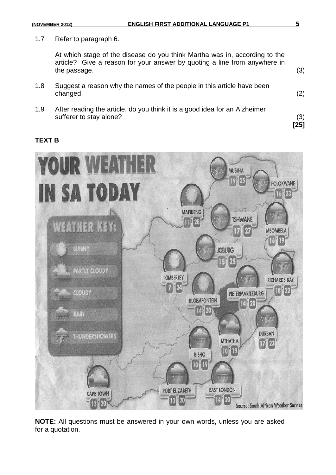1.7 Refer to paragraph 6.

At which stage of the disease do you think Martha was in, according to the article? Give a reason for your answer by quoting a line from anywhere in the passage. (3)

- 1.8 Suggest a reason why the names of the people in this article have been changed. (2)
- 1.9 After reading the article, do you think it is a good idea for an Alzheimer sufferer to stay alone? (3)

#### **TEXT B**



**NOTE:** All questions must be answered in your own words, unless you are asked for a quotation.

**[25]**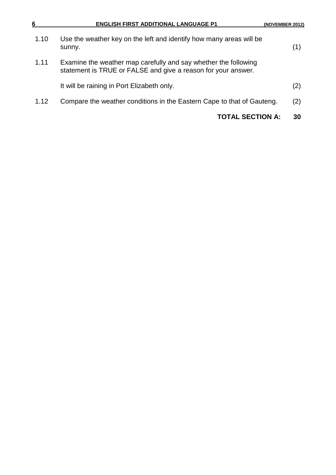| 6    | <b>ENGLISH FIRST ADDITIONAL LANGUAGE P1</b>                                                                                      | (NOVEMBER 2012) |
|------|----------------------------------------------------------------------------------------------------------------------------------|-----------------|
| 1.10 | Use the weather key on the left and identify how many areas will be<br>sunny.                                                    | (1)             |
| 1.11 | Examine the weather map carefully and say whether the following<br>statement is TRUE or FALSE and give a reason for your answer. |                 |
|      | It will be raining in Port Elizabeth only.                                                                                       | (2)             |
| 1.12 | Compare the weather conditions in the Eastern Cape to that of Gauteng.                                                           | (2)             |
|      | <b>TOTAL SECTION A:</b>                                                                                                          | 30              |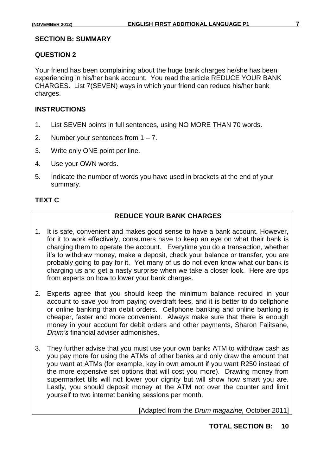#### **SECTION B: SUMMARY**

#### **QUESTION 2**

Your friend has been complaining about the huge bank charges he/she has been experiencing in his/her bank account. You read the article REDUCE YOUR BANK CHARGES. List 7(SEVEN) ways in which your friend can reduce his/her bank charges.

## **INSTRUCTIONS**

- 1. List SEVEN points in full sentences, using NO MORE THAN 70 words.
- 2. Number your sentences from  $1 7$ .
- 3. Write only ONE point per line.
- 4. Use your OWN words.
- 5. Indicate the number of words you have used in brackets at the end of your summary.

# **TEXT C**

# **REDUCE YOUR BANK CHARGES**

- 1. It is safe, convenient and makes good sense to have a bank account. However, for it to work effectively, consumers have to keep an eye on what their bank is charging them to operate the account. Everytime you do a transaction, whether it"s to withdraw money, make a deposit, check your balance or transfer, you are probably going to pay for it. Yet many of us do not even know what our bank is charging us and get a nasty surprise when we take a closer look. Here are tips from experts on how to lower your bank charges.
- 2. Experts agree that you should keep the minimum balance required in your account to save you from paying overdraft fees, and it is better to do cellphone or online banking than debit orders. Cellphone banking and online banking is cheaper, faster and more convenient. Always make sure that there is enough money in your account for debit orders and other payments, Sharon Falitsane, *Drum's* financial adviser admonishes.
- 3. They further advise that you must use your own banks ATM to withdraw cash as you pay more for using the ATMs of other banks and only draw the amount that you want at ATMs (for example, key in own amount if you want R250 instead of the more expensive set options that will cost you more). Drawing money from supermarket tills will not lower your dignity but will show how smart you are. Lastly, you should deposit money at the ATM not over the counter and limit yourself to two internet banking sessions per month.

[Adapted from the *Drum magazine,* October 2011]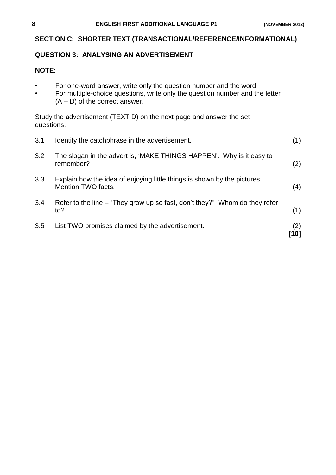# **SECTION C: SHORTER TEXT (TRANSACTIONAL/REFERENCE/INFORMATIONAL)**

# **QUESTION 3: ANALYSING AN ADVERTISEMENT**

#### **NOTE:**

- For one-word answer, write only the question number and the word.
- For multiple-choice questions, write only the question number and the letter  $(A - D)$  of the correct answer.

Study the advertisement (TEXT D) on the next page and answer the set questions.

| 3.1 | Identify the catchphrase in the advertisement.                                                 | (1)         |
|-----|------------------------------------------------------------------------------------------------|-------------|
| 3.2 | The slogan in the advert is, 'MAKE THINGS HAPPEN'. Why is it easy to<br>remember?              | (2)         |
| 3.3 | Explain how the idea of enjoying little things is shown by the pictures.<br>Mention TWO facts. | (4)         |
| 3.4 | Refer to the line – "They grow up so fast, don't they?" Whom do they refer<br>to?              | (1)         |
| 3.5 | List TWO promises claimed by the advertisement.                                                | (2)<br>้101 |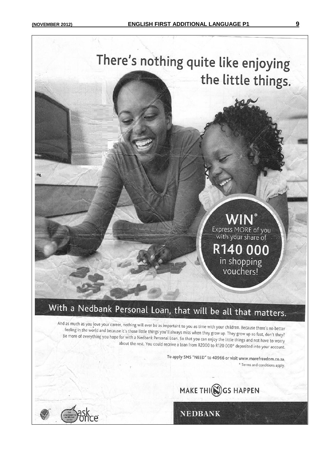

# With a Nedbank Personal Loan, that will be all that matters.

And as much as you love your career, nothing will ever be as important to you as time with your children. Because there's no better feeling in the world and because it's those little things you'll all feeling in the world and because it's those little things you'll always miss when they grow up. They grow up so fast, don't they?<br>Be more of everything you hone for with a Nedbank Desenvel line of the state they grow up. T Be more of everything you hope for with a Nedbank Personal Loan. So that you can enjoy the little things and not have to worry about the rest. You could receive a loan from R2000 to R120 000\* deposited into your account.

> To apply SMS "NEED" to 40966 or visit www.morefreedom.co.za. \* Terms and conditions apply.



**NEDBANK**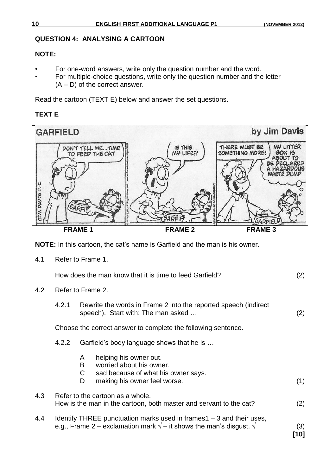## **QUESTION 4: ANALYSING A CARTOON**

# **NOTE:**

- For one-word answers, write only the question number and the word.
- For multiple-choice questions, write only the question number and the letter  $(A - D)$  of the correct answer.

Read the cartoon (TEXT E) below and answer the set questions.

# **TEXT E**



**NOTE:** In this cartoon, the cat"s name is Garfield and the man is his owner.

4.1 Refer to Frame 1.

| How does the man know that it is time to feed Garfield? |  |
|---------------------------------------------------------|--|
|                                                         |  |

- 4.2 Refer to Frame 2.
	- 4.2.1 Rewrite the words in Frame 2 into the reported speech (indirect speech). Start with: The man asked ... (2)

Choose the correct answer to complete the following sentence.

- 4.2.2 Garfield"s body language shows that he is …
	- A helping his owner out.
	- B worried about his owner.
	- C sad because of what his owner says.
	- D making his owner feel worse. (1)

| 4.3 | Refer to the cartoon as a whole.                                   |     |
|-----|--------------------------------------------------------------------|-----|
|     | How is the man in the cartoon, both master and servant to the cat? | (2) |

4.4 Identify THREE punctuation marks used in frames1 – 3 and their uses, e.g., Frame 2 – exclamation mark  $\sqrt{ }$  – it shows the man's disgust.  $\sqrt{ }$  (3)

**[10]**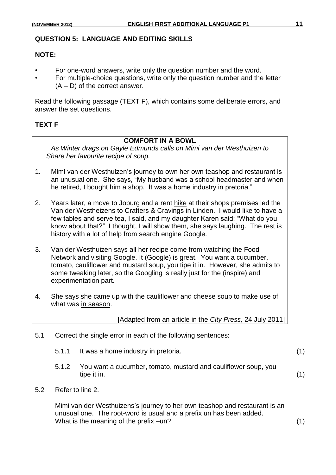## **QUESTION 5: LANGUAGE AND EDITING SKILLS**

#### **NOTE:**

- For one-word answers, write only the question number and the word.
- For multiple-choice questions, write only the question number and the letter (A – D) of the correct answer.

Read the following passage (TEXT F), which contains some deliberate errors, and answer the set questions.

## **TEXT F**

# **COMFORT IN A BOWL**

*As Winter drags on Gayle Edmunds calls on Mimi van der Westhuizen to Share her favourite recipe of soup.*

- 1. Mimi van der Westhuizen"s journey to own her own teashop and restaurant is an unusual one. She says, "My husband was a school headmaster and when he retired, I bought him a shop. It was a home industry in pretoria."
- 2. Years later, a move to Joburg and a rent hike at their shops premises led the Van der Westheizens to Crafters & Cravings in Linden. I would like to have a few tables and serve tea, I said, and my daughter Karen said: "What do you know about that?" I thought, I will show them, she says laughing. The rest is history with a lot of help from search engine Google.
- 3. Van der Westhuizen says all her recipe come from watching the Food Network and visiting Google. It (Google) is great. You want a cucumber, tomato, cauliflower and mustard soup, you tipe it in. However, she admits to some tweaking later, so the Googling is really just for the (inspire) and experimentation part.
- 4. She says she came up with the cauliflower and cheese soup to make use of what was in season.

[Adapted from an article in the *City Press,* 24 July 2011]

- 5.1 Correct the single error in each of the following sentences:
	- 5.1.1 It was a home industry in pretoria. (1)
	- 5.1.2 You want a cucumber, tomato, mustard and cauliflower soup, you tipe it in. (1)
- 5.2 Refer to line 2.

Mimi van der Westhuizens"s journey to her own teashop and restaurant is an unusual one. The root-word is usual and a prefix un has been added. What is the meaning of the prefix –un? (1)